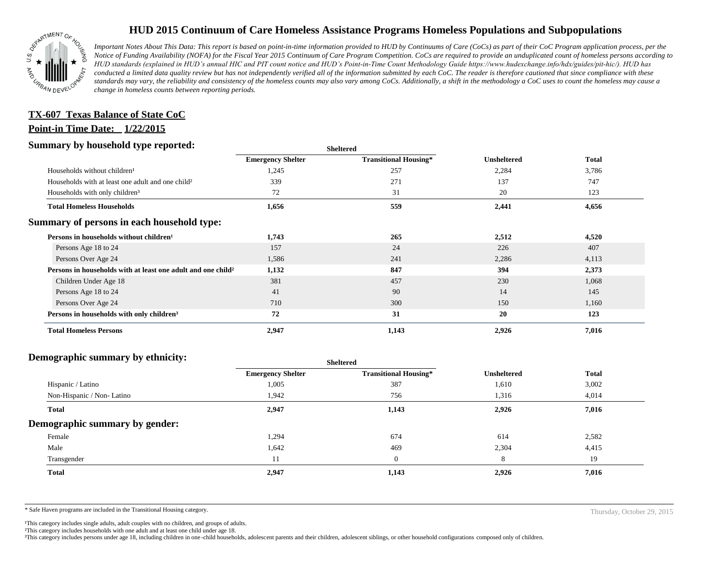

# **HUD 2015 Continuum of Care Homeless Assistance Programs Homeless Populations and Subpopulations**

*Important Notes About This Data: This report is based on point-in-time information provided to HUD by Continuums of Care (CoCs) as part of their CoC Program application process, per the Notice of Funding Availability (NOFA) for the Fiscal Year 2015 Continuum of Care Program Competition. CoCs are required to provide an unduplicated count of homeless persons according to HUD standards (explained in HUD's annual HIC and PIT count notice and HUD's Point-in-Time Count Methodology Guide https://www.hudexchange.info/hdx/guides/pit-hic/). HUD has conducted a limited data quality review but has not independently verified all of the information submitted by each CoC. The reader is therefore cautioned that since compliance with these*  standards may vary, the reliability and consistency of the homeless counts may also vary among CoCs. Additionally, a shift in the methodology a CoC uses to count the homeless may cause a *change in homeless counts between reporting periods.*

## **Point-in Time Date: 1/22/2015 TX-607 Texas Balance of State CoC**

#### **Summary by household type reported:**

| . .                                                                      | эненеген                 |                              |                    |              |
|--------------------------------------------------------------------------|--------------------------|------------------------------|--------------------|--------------|
|                                                                          | <b>Emergency Shelter</b> | <b>Transitional Housing*</b> | <b>Unsheltered</b> | <b>Total</b> |
| Households without children <sup>1</sup>                                 | 1,245                    | 257                          | 2,284              | 3,786        |
| Households with at least one adult and one child <sup>2</sup>            | 339                      | 271                          | 137                | 747          |
| Households with only children <sup>3</sup>                               | 72                       | 31                           | 20                 | 123          |
| <b>Total Homeless Households</b>                                         | 1,656                    | 559                          | 2,441              | 4,656        |
| Summary of persons in each household type:                               |                          |                              |                    |              |
| Persons in households without children <sup>1</sup>                      | 1,743                    | 265                          | 2,512              | 4,520        |
| Persons Age 18 to 24                                                     | 157                      | 24                           | 226                | 407          |
| Persons Over Age 24                                                      | 1,586                    | 241                          | 2,286              | 4,113        |
| Persons in households with at least one adult and one child <sup>2</sup> | 1,132                    | 847                          | 394                | 2,373        |
| Children Under Age 18                                                    | 381                      | 457                          | 230                | 1,068        |
| Persons Age 18 to 24                                                     | 41                       | 90                           | 14                 | 145          |
| Persons Over Age 24                                                      | 710                      | 300                          | 150                | 1,160        |
| Persons in households with only children <sup>3</sup>                    | 72                       | 31                           | 20                 | 123          |
| <b>Total Homeless Persons</b>                                            | 2,947                    | 1,143                        | 2,926              | 7,016        |

**Sheltered**

#### **Demographic summary by ethnicity:**

| ັ<br>. .<br>$\bullet$<br>$\ddot{\phantom{1}}$<br>$\bullet$ | Sneitered                |                              |                    |              |
|------------------------------------------------------------|--------------------------|------------------------------|--------------------|--------------|
|                                                            | <b>Emergency Shelter</b> | <b>Transitional Housing*</b> | <b>Unsheltered</b> | <b>Total</b> |
| Hispanic / Latino                                          | 1,005                    | 387                          | 1,610              | 3,002        |
| Non-Hispanic / Non-Latino                                  | 1,942                    | 756                          | 1,316              | 4,014        |
| <b>Total</b>                                               | 2,947                    | 1,143                        | 2,926              | 7,016        |
| Demographic summary by gender:                             |                          |                              |                    |              |
| Female                                                     | 1,294                    | 674                          | 614                | 2,582        |
| Male                                                       | 1,642                    | 469                          | 2,304              | 4,415        |
| Transgender                                                | 11                       | $\theta$                     | 8                  | 19           |
| <b>Total</b>                                               | 2,947                    | 1,143                        | 2,926              | 7,016        |
|                                                            |                          |                              |                    |              |

**Sheltered**

\* Safe Haven programs are included in the Transitional Housing category. Thursday, October 29, 2015

<sup>1</sup>This category includes single adults, adult couples with no children, and groups of adults.

²This category includes households with one adult and at least one child under age 18.

³This category includes persons under age 18, including children in one -child households, adolescent parents and their children, adolescent siblings, or other household configurations composed only of children.